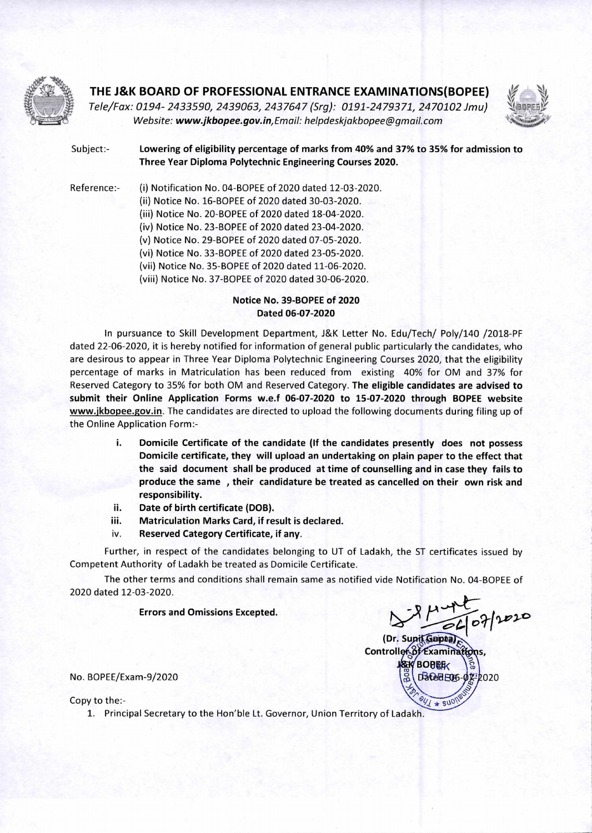

## **THE J&K BOARD OF PROFESSIONAL ENTRANCE EXAMINATIONS(BOPEE)**

Tele/Fax: 0194- 2433590, 2439063, 2437647 (Srg): 0191-2479371, 2470102 Jmu) \-4!BEFIF Website: *www.jkbopee.gov.in,Email:* helpdeskjakbopee@gmail.corn



Subject:- **Lowering of eligibility percentage of marks from 40% and 37% to 35% for admission to** 

**Three Year Diploma Polytechnic Engineering Courses 2020.** 

Reference:- (i) Notification No. 04-BOPEE of 2020 dated 12-03-2020. (ii) Notice No. 16-BOPEE of 2020 dated 30-03-2020. (iii) Notice No. 20-BOPEE of 2020 dated 18-04-2020. (iv) Notice No. 23-BOPEE of 2020 dated 23-04-2020. (v) Notice No. 29-BOPEE of 2020 dated 07-05-2020. (vi) Notice No. 33-BOPEE of 2020 dated 23-05-2020. (vii) Notice No. 35-BOPEE of 2020 dated 11-06-2020.

(viii) Notice No. 37-BOPEE of 2020 dated 30-06-2020.

## **Notice No. 39-BOPEE of 2020 Dated 06-07-2020**

In pursuance to Skill Development Department, J&K Letter No. Edu/Tech/ Poly/140 /2018-PF dated 22-06-2020, it is hereby notified for information of general public particularly the candidates, who are desirous to appear in Three Year Diploma Polytechnic Engineering Courses 2020, that the eligibility percentage of marks in Matriculation has been reduced from existing 40% for OM and 37% for Reserved Category to 35% for both OM and Reserved Category. **The eligible candidates are advised to submit their Online Application Forms w.e.f 06-07-2020 to 15-07-2020 through BOPEE website www.jkbopee.gov.in.** The candidates are directed to upload the following documents during filing up of the Online Application Form:-

- **i. Domicile Certificate of the candidate (If the candidates presently does not possess Domicile certificate, they will upload an undertaking on plain paper to the effect that the said document shall be produced at time of counselling and in case they fails to produce the same , their candidature be treated as cancelled on their own risk and responsibility.**
- **ii. Date of birth certificate (DOB).**
- **iii. Matriculation Marks Card, if result is declared.**
- **iv. Reserved Category Certificate, if any.**

Further, in respect of the candidates belonging to UT of Ladakh, the ST certificates issued by Competent Authority of Ladakh be treated as Domicile Certificate.

The other terms and conditions shall remain same as notified vide Notification No. 04-BOPEE of 2020 dated 12-03-2020.

**Errors and Omissions Excepted.** 

**°911-V1-C.** 

**(Dr. Supit Geiptal)** Controller of Examinations, **BOBER** Dated E06  $47 * 270$ **7-2020** 

No. BOPEE/Exam-9/2020

Copy to the:-

1. Principal Secretary to the Hon'ble Lt. Governor, Union Territory of Ladakh.